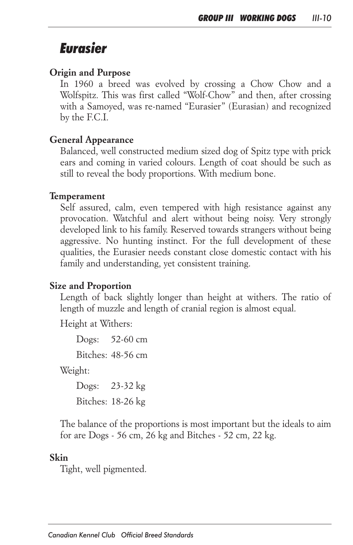# *Eurasier*

#### *Origin and Purpose*

*In 1960 a breed was evolved by crossing a Chow Chow and a Wolfspitz. This was first called "Wolf-Chow" and then, after crossing with a Samoyed, was re-named "Eurasier" (Eurasian) and recognized by the F.C.I.*

#### *General Appearance*

*Balanced, well constructed medium sized dog of Spitz type with prick ears and coming in varied colours. Length of coat should be such as still to reveal the body proportions. With medium bone.*

#### *Temperament*

*Self assured, calm, even tempered with high resistance against any*  provocation. Watchful and alert without being noisy. Very strongly *developed link to his family. Reserved towards strangers without being*  aggressive. No hunting instinct. For the full development of these *qualities, the Eurasier needs constant close domestic contact with his family and understanding, yet consistent training.*

#### *Size and Proportion*

Length of back slightly longer than height at withers. The ratio of *length of muzzle and length of cranial region is almost equal.*

*Height at Withers:*

 *Dogs: 52-60 cm Bitches: 48-56 cm*

 *Weight:*

 *Dogs: 23-32 kg Bitches: 18-26 kg*

*The balance of the proportions is most important but the ideals to aim for are Dogs - 56 cm, 26 kg and Bitches - 52 cm, 22 kg.*

#### *Skin*

*Tight, well pigmented.*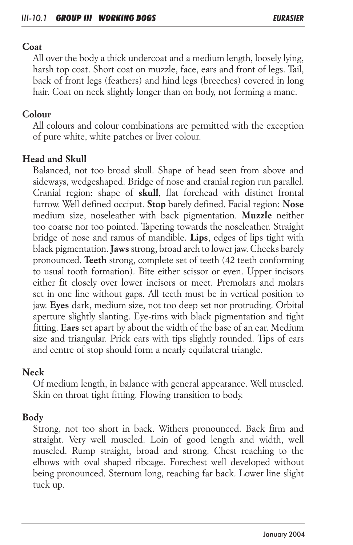#### *Coat*

*All over the body a thick undercoat and a medium length, loosely lying, harsh top coat. Short coat on muzzle, face, ears and front of legs. Tail, back of front legs (feathers) and hind legs (breeches) covered in long hair. Coat on neck slightly longer than on body, not forming a mane.*

## *Colour*

*All colours and colour combinations are permitted with the exception of pure white, white patches or liver colour.*

## *Head and Skull*

*Balanced, not too broad skull. Shape of head seen from above and sideways, wedgeshaped. Bridge of nose and cranial region run parallel. Cranial region: shape of skull, flat forehead with distinct frontal furrow. Well defined occiput. Stop barely defined. Facial region: Nose medium size, noseleather with back pigmentation. Muzzle neither too coarse nor too pointed. Tapering towards the noseleather. Straight bridge of nose and ramus of mandible. Lips, edges of lips tight with black pigmentation. Jaws strong, broad arch to lower jaw. Cheeks barely pronounced. Teeth strong, complete set of teeth (42 teeth conforming to usual tooth formation). Bite either scissor or even. Upper incisors either fit closely over lower incisors or meet. Premolars and molars set in one line without gaps. All teeth must be in vertical position to jaw. Eyes dark, medium size, not too deep set nor protruding. Orbital aperture slightly slanting. Eye-rims with black pigmentation and tight fitting. Ears set apart by about the width of the base of an ear. Medium size and triangular. Prick ears with tips slightly rounded. Tips of ears and centre of stop should form a nearly equilateral triangle.*

## *Neck*

*Of medium length, in balance with general appearance. Well muscled. Skin on throat tight fitting. Flowing transition to body.*

## *Body*

*Strong, not too short in back. Withers pronounced. Back firm and*  straight. Very well muscled. Loin of good length and width, well muscled. Rump straight, broad and strong. Chest reaching to the *elbows with oval shaped ribcage. Forechest well developed without being pronounced. Sternum long, reaching far back. Lower line slight tuck up.*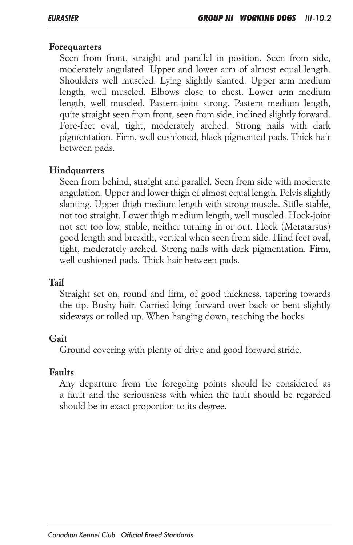#### *Forequarters*

*Seen from front, straight and parallel in position. Seen from side, moderately angulated. Upper and lower arm of almost equal length. Shoulders well muscled. Lying slightly slanted. Upper arm medium length, well muscled. Elbows close to chest. Lower arm medium length, well muscled. Pastern-joint strong. Pastern medium length, quite straight seen from front, seen from side, inclined slightly forward. Fore-feet oval, tight, moderately arched. Strong nails with dark pigmentation. Firm, well cushioned, black pigmented pads. Thick hair between pads.*

## *Hindquarters*

*Seen from behind, straight and parallel. Seen from side with moderate*  angulation. Upper and lower thigh of almost equal length. Pelvis slightly *slanting. Upper thigh medium length with strong muscle. Stifle stable, not too straight. Lower thigh medium length, well muscled. Hock-joint not set too low, stable, neither turning in or out. Hock (Metatarsus) good length and breadth, vertical when seen from side. Hind feet oval, tight, moderately arched. Strong nails with dark pigmentation. Firm, well cushioned pads. Thick hair between pads.*

## *Tail*

*Straight set on, round and firm, of good thickness, tapering towards the tip. Bushy hair. Carried lying forward over back or bent slightly sideways or rolled up. When hanging down, reaching the hocks.*

## *Gait*

*Ground covering with plenty of drive and good forward stride.*

## *Faults*

*Any departure from the foregoing points should be considered as a fault and the seriousness with which the fault should be regarded should be in exact proportion to its degree.*